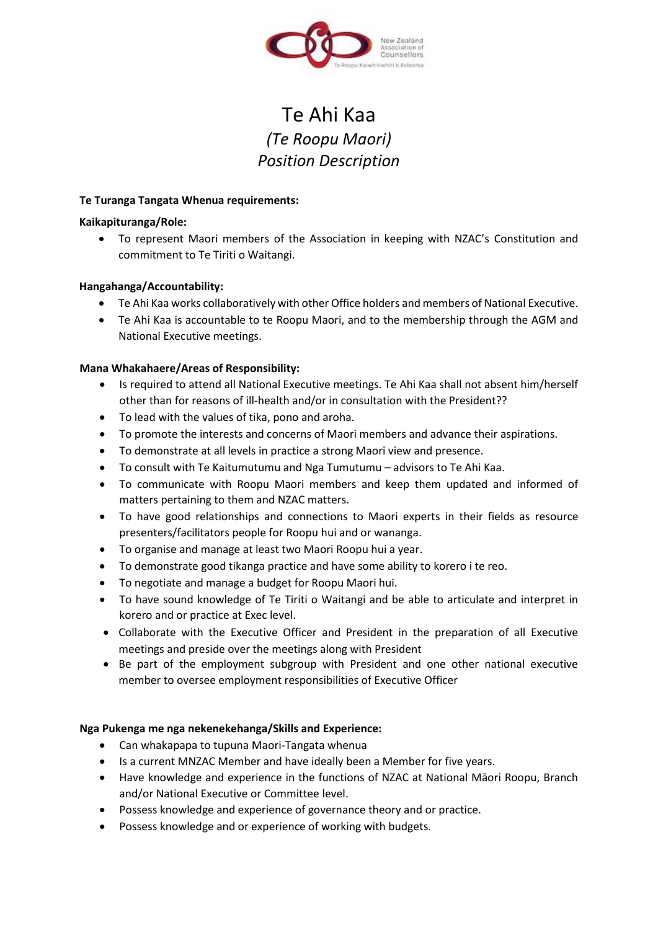

# Te Ahi Kaa *(Te Roopu Maori) Position Description*

### **Te Turanga Tangata Whenua requirements:**

### **Kaikapituranga/Role:**

 To represent Maori members of the Association in keeping with NZAC's Constitution and commitment to Te Tiriti o Waitangi.

## **Hangahanga/Accountability:**

- Te Ahi Kaa works collaboratively with other Office holders and members of National Executive.
- Te Ahi Kaa is accountable to te Roopu Maori, and to the membership through the AGM and National Executive meetings.

## **Mana Whakahaere/Areas of Responsibility:**

- Is required to attend all National Executive meetings. Te Ahi Kaa shall not absent him/herself other than for reasons of ill-health and/or in consultation with the President??
- To lead with the values of tika, pono and aroha.
- To promote the interests and concerns of Maori members and advance their aspirations.
- To demonstrate at all levels in practice a strong Maori view and presence.
- To consult with Te Kaitumutumu and Nga Tumutumu advisors to Te Ahi Kaa.
- To communicate with Roopu Maori members and keep them updated and informed of matters pertaining to them and NZAC matters.
- To have good relationships and connections to Maori experts in their fields as resource presenters/facilitators people for Roopu hui and or wananga.
- To organise and manage at least two Maori Roopu hui a year.
- To demonstrate good tikanga practice and have some ability to korero i te reo.
- To negotiate and manage a budget for Roopu Maori hui.
- To have sound knowledge of Te Tiriti o Waitangi and be able to articulate and interpret in korero and or practice at Exec level.
- Collaborate with the Executive Officer and President in the preparation of all Executive meetings and preside over the meetings along with President
- Be part of the employment subgroup with President and one other national executive member to oversee employment responsibilities of Executive Officer

## **Nga Pukenga me nga nekenekehanga/Skills and Experience:**

- Can whakapapa to tupuna Maori-Tangata whenua
- Is a current MNZAC Member and have ideally been a Member for five years.
- Have knowledge and experience in the functions of NZAC at National Māori Roopu, Branch and/or National Executive or Committee level.
- Possess knowledge and experience of governance theory and or practice.
- Possess knowledge and or experience of working with budgets.